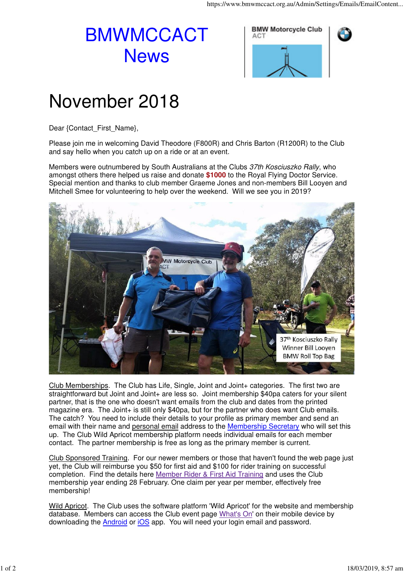## BMWMCCACT **News**



## November 2018

Dear {Contact\_First\_Name},

Please join me in welcoming David Theodore (F800R) and Chris Barton (R1200R) to the Club and say hello when you catch up on a ride or at an event.

Members were outnumbered by South Australians at the Clubs 37th Kosciuszko Rally, who amongst others there helped us raise and donate **\$1000** to the Royal Flying Doctor Service. Special mention and thanks to club member Graeme Jones and non-members Bill Looyen and Mitchell Smee for volunteering to help over the weekend. Will we see you in 2019?



Club Memberships. The Club has Life, Single, Joint and Joint+ categories. The first two are straightforward but Joint and Joint+ are less so. Joint membership \$40pa caters for your silent partner, that is the one who doesn't want emails from the club and dates from the printed magazine era. The Joint+ is still only \$40pa, but for the partner who does want Club emails. The catch? You need to include their details to your profile as primary member and send an email with their name and personal email address to the Membership Secretary who will set this up. The Club Wild Apricot membership platform needs individual emails for each member contact. The partner membership is free as long as the primary member is current.

Club Sponsored Training. For our newer members or those that haven't found the web page just yet, the Club will reimburse you \$50 for first aid and \$100 for rider training on successful completion. Find the details here Member Rider & First Aid Training and uses the Club membership year ending 28 February. One claim per year per member, effectively free membership!

Wild Apricot. The Club uses the software platform 'Wild Apricot' for the website and membership database. Members can access the Club event page What's On' on their mobile device by downloading the Android or iOS app. You will need your login email and password.